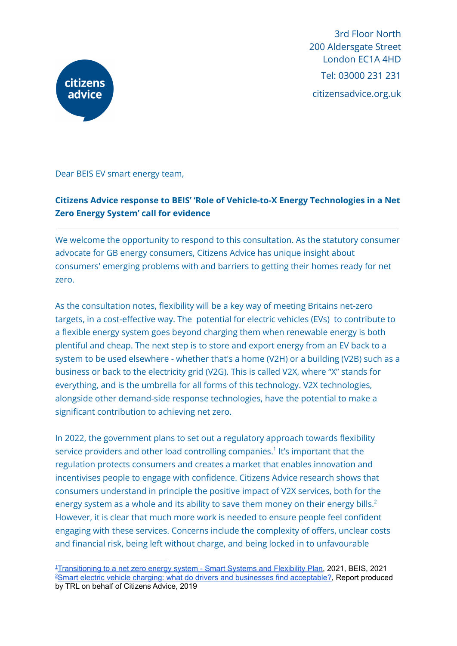

3rd Floor North 200 Aldersgate Street London EC1A 4HD Tel: 03000 231 231 citizensadvice.org.uk

Dear BEIS EV smart energy team,

# **Citizens Advice response to BEIS' 'Role of Vehicle-to-X Energy Technologies in a Net Zero Energy System' call for evidence**

We welcome the opportunity to respond to this consultation. As the statutory consumer advocate for GB energy consumers, Citizens Advice has unique insight about consumers' emerging problems with and barriers to getting their homes ready for net zero.

As the consultation notes, flexibility will be a key way of meeting Britains net-zero targets, in a cost-effective way. The potential for electric vehicles (EVs) to contribute to a flexible energy system goes beyond charging them when renewable energy is both plentiful and cheap. The next step is to store and export energy from an EV back to a system to be used elsewhere - whether that's a home (V2H) or a building (V2B) such as a business or back to the electricity grid (V2G). This is called V2X, where "X" stands for everything, and is the umbrella for all forms of this technology. V2X technologies, alongside other demand-side response technologies, have the potential to make a significant contribution to achieving net zero.

In 2022, the government plans to set out a regulatory approach towards flexibility service providers and other load controlling companies.<sup>1</sup> It's important that the regulation protects consumers and creates a market that enables innovation and incentivises people to engage with confidence. Citizens Advice research shows that consumers understand in principle the positive impact of V2X services, both for the energy system as a whole and its ability to save them money on their energy bills. $^2$ However, it is clear that much more work is needed to ensure people feel confident engaging with these services. Concerns include the complexity of offers, unclear costs and financial risk, being left without charge, and being locked in to unfavourable

<sup>&</sup>lt;sup>2</sup>Smart electric vehicle charging: what do drivers and businesses find [acceptable?,](https://www.citizensadvice.org.uk/about-us/our-work/policy/policy-research-topics/energy-policy-research-and-consultation-responses/energy-policy-research/smart-ev-charging-what-do-drivers-and-businesses-find-acceptable/) Report produced by TRL on behalf of Citizens Advice, 2019 <sup>1</sup>[Transitioning](https://assets.publishing.service.gov.uk/government/uploads/system/uploads/attachment_data/file/1003778/smart-systems-and-flexibility-plan-2021.pdf) to a net zero energy system - Smart Systems and Flexibility Plan, 2021, BEIS, 2021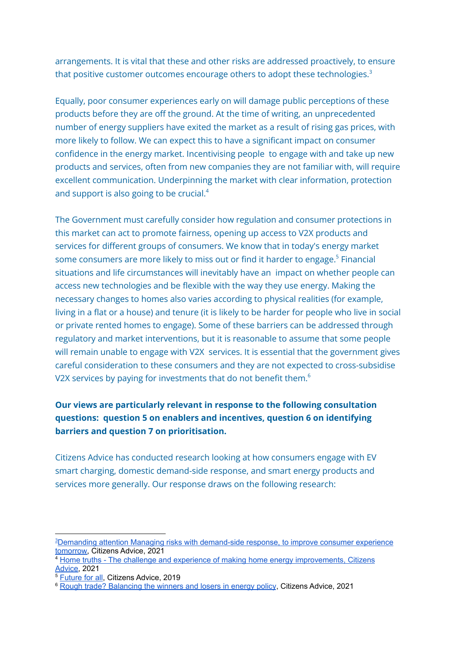arrangements. It is vital that these and other risks are addressed proactively, to ensure that positive customer outcomes encourage others to adopt these technologies. $^{\rm 3}$ 

Equally, poor consumer experiences early on will damage public perceptions of these products before they are off the ground. At the time of writing, an unprecedented number of energy suppliers have exited the market as a result of rising gas prices, with more likely to follow. We can expect this to have a significant impact on consumer confidence in the energy market. Incentivising people to engage with and take up new products and services, often from new companies they are not familiar with, will require excellent communication. Underpinning the market with clear information, protection and support is also going to be crucial.<sup>4</sup>

The Government must carefully consider how regulation and consumer protections in this market can act to promote fairness, opening up access to V2X products and services for different groups of consumers. We know that in today's energy market some consumers are more likely to miss out or find it harder to engage.<sup>5</sup> Financial situations and life circumstances will inevitably have an impact on whether people can access new technologies and be flexible with the way they use energy. Making the necessary changes to homes also varies according to physical realities (for example, living in a flat or a house) and tenure (it is likely to be harder for people who live in social or private rented homes to engage). Some of these barriers can be addressed through regulatory and market interventions, but it is reasonable to assume that some people will remain unable to engage with V2X services. It is essential that the government gives careful consideration to these consumers and they are not expected to cross-subsidise V2X services by paying for investments that do not benefit them. $^{\rm 6}$ 

# **Our views are particularly relevant in response to the following consultation questions: question 5 on enablers and incentives, question 6 on identifying barriers and question 7 on prioritisation.**

Citizens Advice has conducted research looking at how consumers engage with EV smart charging, domestic demand-side response, and smart energy products and services more generally. Our response draws on the following research:

<sup>3</sup>Demanding attention Managing risks with [demand-side](https://www.citizensadvice.org.uk/Global/CitizensAdvice/Energy/Demanding%20attention%20-%20Managing%20risks%20with%20demand-side%20response,%20to%20improve%20consumer%20experience%20tomorrow.pdf) response, to improve consumer experience [tomorrow,](https://www.citizensadvice.org.uk/Global/CitizensAdvice/Energy/Demanding%20attention%20-%20Managing%20risks%20with%20demand-side%20response,%20to%20improve%20consumer%20experience%20tomorrow.pdf) Citizens Advice, 2021

<sup>4</sup> Home truths - The challenge and experience of making home energy [improvements,](https://www.citizensadvice.org.uk/Global/CitizensAdvice/Energy/FINAL_%20Home%20Truths.pdf) Citizens [Advice](https://www.citizensadvice.org.uk/Global/CitizensAdvice/Energy/FINAL_%20Home%20Truths.pdf), 2021

<sup>&</sup>lt;sup>5</sup> [Future](https://www.citizensadvice.org.uk/Global/CitizensAdvice/Energy/Future%20for%20all_FINAL.pdf) for all, Citizens Advice, 2019

<sup>6</sup> Rough trade? [Balancing](https://www.citizensadvice.org.uk/about-us/our-work/policy/policy-research-topics/energy-policy-research-and-consultation-responses/energy-policy-research/rough-trade-balancing-the-winners-and-losers-in-energy-policy/) the winners and losers in energy policy, Citizens Advice, 2021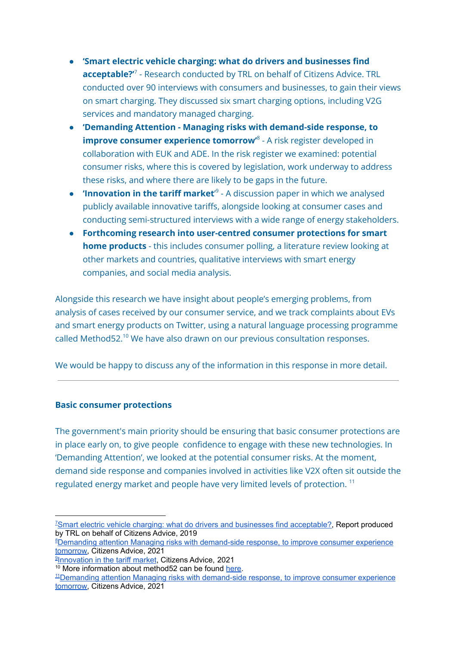- **'Smart electric vehicle charging: what do drivers and businesses find acceptable?'** 7 - Research conducted by TRL on behalf of Citizens Advice. TRL conducted over 90 interviews with consumers and businesses, to gain their views on smart charging. They discussed six smart charging options, including V2G services and mandatory managed charging.
- **'Demanding Attention - Managing risks with demand-side response, to improve consumer experience tomorrow'** 8 - A risk register developed in collaboration with EUK and ADE. In the risk register we examined: potential consumer risks, where this is covered by legislation, work underway to address these risks, and where there are likely to be gaps in the future.
- **'Innovation in the tariff market'**<sup>9</sup> A discussion paper in which we analysed publicly available innovative tariffs, alongside looking at consumer cases and conducting semi-structured interviews with a wide range of energy stakeholders.
- **Forthcoming research into user-centred consumer protections for smart home products** - this includes consumer polling, a literature review looking at other markets and countries, qualitative interviews with smart energy companies, and social media analysis.

Alongside this research we have insight about people's emerging problems, from analysis of cases received by our consumer service, and we track complaints about EVs and smart energy products on Twitter, using a natural language processing programme called Method52. <sup>10</sup> We have also drawn on our previous consultation responses.

We would be happy to discuss any of the information in this response in more detail.

## **Basic consumer protections**

The government's main priority should be ensuring that basic consumer protections are in place early on, to give people confidence to engage with these new technologies. In 'Demanding Attention', we looked at the potential consumer risks. At the moment, demand side response and companies involved in activities like V2X often sit outside the regulated energy market and people have very limited levels of protection.<sup>11</sup>

<sup>&</sup>lt;sup>Z</sup>Smart electric vehicle charging: what do drivers and businesses find [acceptable?,](https://www.citizensadvice.org.uk/about-us/our-work/policy/policy-research-topics/energy-policy-research-and-consultation-responses/energy-policy-research/smart-ev-charging-what-do-drivers-and-businesses-find-acceptable/) Report produced by TRL on behalf of Citizens Advice, 2019

<sup>8</sup>Demanding attention Managing risks with [demand-side](https://www.citizensadvice.org.uk/Global/CitizensAdvice/Energy/Demanding%20attention%20-%20Managing%20risks%20with%20demand-side%20response,%20to%20improve%20consumer%20experience%20tomorrow.pdf) response, to improve consumer experience [tomorrow,](https://www.citizensadvice.org.uk/Global/CitizensAdvice/Energy/Demanding%20attention%20-%20Managing%20risks%20with%20demand-side%20response,%20to%20improve%20consumer%20experience%20tomorrow.pdf) Citizens Advice, 2021

**[Innovation](https://www.citizensadvice.org.uk/Global/CitizensAdvice/Energy/Innovation%20in%20the%20tariff%20market%20discussion%20paper%20(1)%20(1).pdf) in the tariff market, Citizens Advice, 2021** 

<sup>&</sup>lt;sup>10</sup> More information about method52 can be found [here.](https://www.sussex.ac.uk/research/centres/ai-research-group/research/nlp/tools)

<sup>11</sup>Demanding attention Managing risks with [demand-side](https://www.citizensadvice.org.uk/Global/CitizensAdvice/Energy/Demanding%20attention%20-%20Managing%20risks%20with%20demand-side%20response,%20to%20improve%20consumer%20experience%20tomorrow.pdf) response, to improve consumer experience [tomorrow,](https://www.citizensadvice.org.uk/Global/CitizensAdvice/Energy/Demanding%20attention%20-%20Managing%20risks%20with%20demand-side%20response,%20to%20improve%20consumer%20experience%20tomorrow.pdf) Citizens Advice, 2021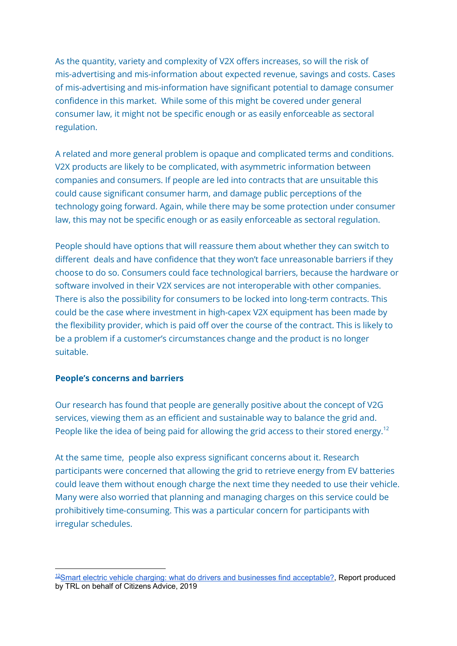As the quantity, variety and complexity of V2X offers increases, so will the risk of mis-advertising and mis-information about expected revenue, savings and costs. Cases of mis-advertising and mis-information have significant potential to damage consumer confidence in this market. While some of this might be covered under general consumer law, it might not be specific enough or as easily enforceable as sectoral regulation.

A related and more general problem is opaque and complicated terms and conditions. V2X products are likely to be complicated, with asymmetric information between companies and consumers. If people are led into contracts that are unsuitable this could cause significant consumer harm, and damage public perceptions of the technology going forward. Again, while there may be some protection under consumer law, this may not be specific enough or as easily enforceable as sectoral regulation.

People should have options that will reassure them about whether they can switch to different deals and have confidence that they won't face unreasonable barriers if they choose to do so. Consumers could face technological barriers, because the hardware or software involved in their V2X services are not interoperable with other companies. There is also the possibility for consumers to be locked into long-term contracts. This could be the case where investment in high-capex V2X equipment has been made by the flexibility provider, which is paid off over the course of the contract. This is likely to be a problem if a customer's circumstances change and the product is no longer suitable.

#### **People's concerns and barriers**

Our research has found that people are generally positive about the concept of V2G services, viewing them as an efficient and sustainable way to balance the grid and. People like the idea of being paid for allowing the grid access to their stored energy.<sup>12</sup>

At the same time, people also express significant concerns about it. Research participants were concerned that allowing the grid to retrieve energy from EV batteries could leave them without enough charge the next time they needed to use their vehicle. Many were also worried that planning and managing charges on this service could be prohibitively time-consuming. This was a particular concern for participants with irregular schedules.

<sup>&</sup>lt;sup>12</sup>Smart electric vehicle charging: what do drivers and businesses find [acceptable?,](https://www.citizensadvice.org.uk/about-us/our-work/policy/policy-research-topics/energy-policy-research-and-consultation-responses/energy-policy-research/smart-ev-charging-what-do-drivers-and-businesses-find-acceptable/) Report produced by TRL on behalf of Citizens Advice, 2019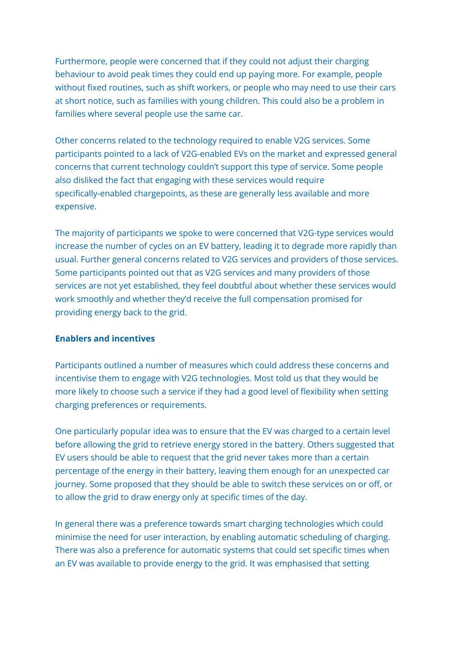Furthermore, people were concerned that if they could not adjust their charging behaviour to avoid peak times they could end up paying more. For example, people without fixed routines, such as shift workers, or people who may need to use their cars at short notice, such as families with young children. This could also be a problem in families where several people use the same car.

Other concerns related to the technology required to enable V2G services. Some participants pointed to a lack of V2G-enabled EVs on the market and expressed general concerns that current technology couldn't support this type of service. Some people also disliked the fact that engaging with these services would require specifically-enabled chargepoints, as these are generally less available and more expensive.

The majority of participants we spoke to were concerned that V2G-type services would increase the number of cycles on an EV battery, leading it to degrade more rapidly than usual. Further general concerns related to V2G services and providers of those services. Some participants pointed out that as V2G services and many providers of those services are not yet established, they feel doubtful about whether these services would work smoothly and whether they'd receive the full compensation promised for providing energy back to the grid.

#### **Enablers and incentives**

Participants outlined a number of measures which could address these concerns and incentivise them to engage with V2G technologies. Most told us that they would be more likely to choose such a service if they had a good level of flexibility when setting charging preferences or requirements.

One particularly popular idea was to ensure that the EV was charged to a certain level before allowing the grid to retrieve energy stored in the battery. Others suggested that EV users should be able to request that the grid never takes more than a certain percentage of the energy in their battery, leaving them enough for an unexpected car journey. Some proposed that they should be able to switch these services on or off, or to allow the grid to draw energy only at specific times of the day.

In general there was a preference towards smart charging technologies which could minimise the need for user interaction, by enabling automatic scheduling of charging. There was also a preference for automatic systems that could set specific times when an EV was available to provide energy to the grid. It was emphasised that setting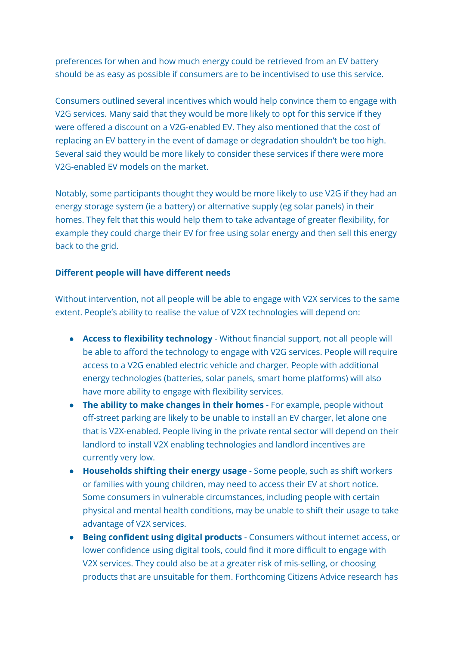preferences for when and how much energy could be retrieved from an EV battery should be as easy as possible if consumers are to be incentivised to use this service.

Consumers outlined several incentives which would help convince them to engage with V2G services. Many said that they would be more likely to opt for this service if they were offered a discount on a V2G-enabled EV. They also mentioned that the cost of replacing an EV battery in the event of damage or degradation shouldn't be too high. Several said they would be more likely to consider these services if there were more V2G-enabled EV models on the market.

Notably, some participants thought they would be more likely to use V2G if they had an energy storage system (ie a battery) or alternative supply (eg solar panels) in their homes. They felt that this would help them to take advantage of greater flexibility, for example they could charge their EV for free using solar energy and then sell this energy back to the grid.

### **Different people will have different needs**

Without intervention, not all people will be able to engage with V2X services to the same extent. People's ability to realise the value of V2X technologies will depend on:

- **Access to flexibility technology** Without financial support, not all people will be able to afford the technology to engage with V2G services. People will require access to a V2G enabled electric vehicle and charger. People with additional energy technologies (batteries, solar panels, smart home platforms) will also have more ability to engage with flexibility services.
- **The ability to make changes in their homes** For example, people without off-street parking are likely to be unable to install an EV charger, let alone one that is V2X-enabled. People living in the private rental sector will depend on their landlord to install V2X enabling technologies and landlord incentives are currently very low.
- **Households shifting their energy usage** Some people, such as shift workers or families with young children, may need to access their EV at short notice. Some consumers in vulnerable circumstances, including people with certain physical and mental health conditions, may be unable to shift their usage to take advantage of V2X services.
- **Being confident using digital products** Consumers without internet access, or lower confidence using digital tools, could find it more difficult to engage with V2X services. They could also be at a greater risk of mis-selling, or choosing products that are unsuitable for them. Forthcoming Citizens Advice research has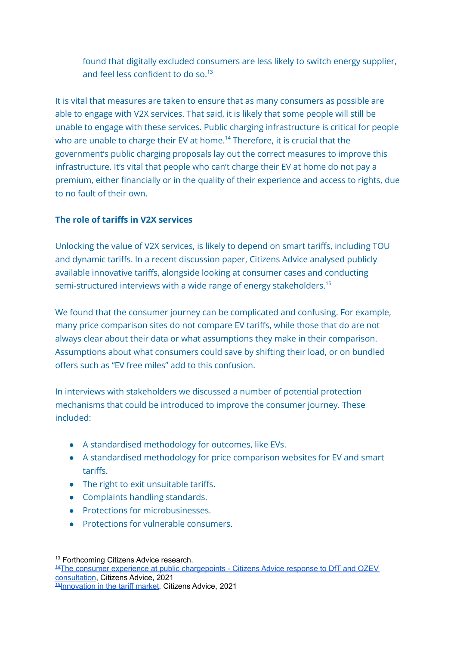found that digitally excluded consumers are less likely to switch energy supplier, and feel less confident to do so.<sup>13</sup>

It is vital that measures are taken to ensure that as many consumers as possible are able to engage with V2X services. That said, it is likely that some people will still be unable to engage with these services. Public charging infrastructure is critical for people who are unable to charge their EV at home. <sup>14</sup> Therefore, it is crucial that the government's public charging proposals lay out the correct measures to improve this infrastructure. It's vital that people who can't charge their EV at home do not pay a premium, either financially or in the quality of their experience and access to rights, due to no fault of their own.

## **The role of tariffs in V2X services**

Unlocking the value of V2X services, is likely to depend on smart tariffs, including TOU and dynamic tariffs. In a recent discussion paper, Citizens Advice analysed publicly available innovative tariffs, alongside looking at consumer cases and conducting semi-structured interviews with a wide range of energy stakeholders.<sup>15</sup>

We found that the consumer journey can be complicated and confusing. For example, many price comparison sites do not compare EV tariffs, while those that do are not always clear about their data or what assumptions they make in their comparison. Assumptions about what consumers could save by shifting their load, or on bundled offers such as "EV free miles" add to this confusion.

In interviews with stakeholders we discussed a number of potential protection mechanisms that could be introduced to improve the consumer journey. These included:

- A standardised methodology for outcomes, like EVs.
- A standardised methodology for price comparison websites for EV and smart tariffs.
- The right to exit unsuitable tariffs.
- Complaints handling standards.
- Protections for microbusinesses.
- Protections for vulnerable consumers.

<sup>&</sup>lt;sup>13</sup> Forthcoming Citizens Advice research.

<sup>15</sup>[Innovation](https://www.citizensadvice.org.uk/Global/CitizensAdvice/Energy/Innovation%20in%20the%20tariff%20market%20discussion%20paper%20(1)%20(1).pdf) in the tariff market, Citizens Advice, 2021 <sup>14</sup>The consumer experience at public [chargepoints](https://www.citizensadvice.org.uk/Global/CitizensAdvice/Energy/Energy%20Consultation%20responses/Public%20chargepoint%20consultation%20response.pdf) - Citizens Advice response to DfT and OZEV [consultation](https://www.citizensadvice.org.uk/Global/CitizensAdvice/Energy/Energy%20Consultation%20responses/Public%20chargepoint%20consultation%20response.pdf), Citizens Advice, 2021